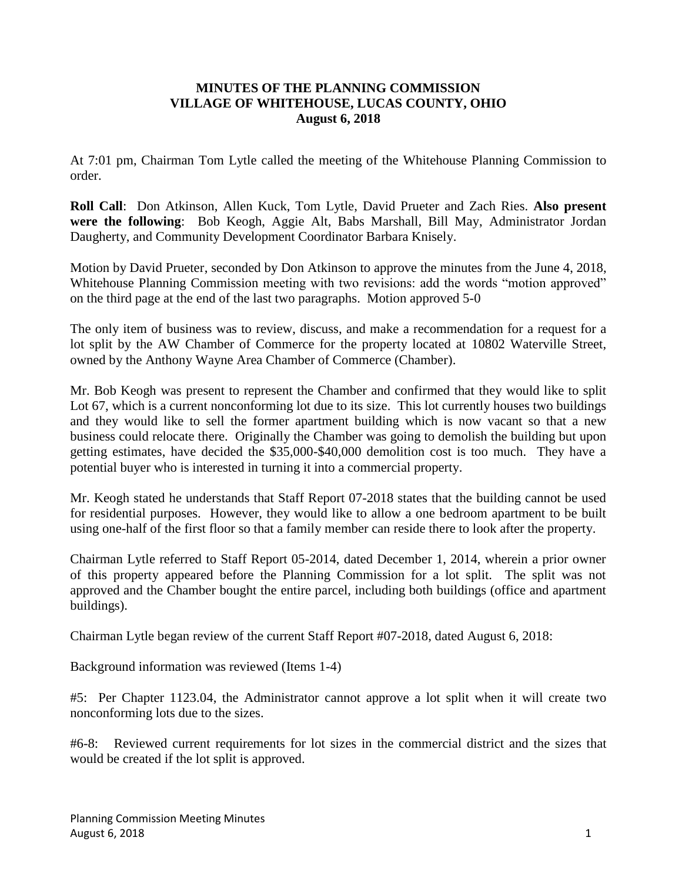## **MINUTES OF THE PLANNING COMMISSION VILLAGE OF WHITEHOUSE, LUCAS COUNTY, OHIO August 6, 2018**

At 7:01 pm, Chairman Tom Lytle called the meeting of the Whitehouse Planning Commission to order.

**Roll Call**: Don Atkinson, Allen Kuck, Tom Lytle, David Prueter and Zach Ries. **Also present were the following**: Bob Keogh, Aggie Alt, Babs Marshall, Bill May, Administrator Jordan Daugherty, and Community Development Coordinator Barbara Knisely.

Motion by David Prueter, seconded by Don Atkinson to approve the minutes from the June 4, 2018, Whitehouse Planning Commission meeting with two revisions: add the words "motion approved" on the third page at the end of the last two paragraphs. Motion approved 5-0

The only item of business was to review, discuss, and make a recommendation for a request for a lot split by the AW Chamber of Commerce for the property located at 10802 Waterville Street, owned by the Anthony Wayne Area Chamber of Commerce (Chamber).

Mr. Bob Keogh was present to represent the Chamber and confirmed that they would like to split Lot 67, which is a current nonconforming lot due to its size. This lot currently houses two buildings and they would like to sell the former apartment building which is now vacant so that a new business could relocate there. Originally the Chamber was going to demolish the building but upon getting estimates, have decided the \$35,000-\$40,000 demolition cost is too much. They have a potential buyer who is interested in turning it into a commercial property.

Mr. Keogh stated he understands that Staff Report 07-2018 states that the building cannot be used for residential purposes. However, they would like to allow a one bedroom apartment to be built using one-half of the first floor so that a family member can reside there to look after the property.

Chairman Lytle referred to Staff Report 05-2014, dated December 1, 2014, wherein a prior owner of this property appeared before the Planning Commission for a lot split. The split was not approved and the Chamber bought the entire parcel, including both buildings (office and apartment buildings).

Chairman Lytle began review of the current Staff Report #07-2018, dated August 6, 2018:

Background information was reviewed (Items 1-4)

#5: Per Chapter 1123.04, the Administrator cannot approve a lot split when it will create two nonconforming lots due to the sizes.

#6-8: Reviewed current requirements for lot sizes in the commercial district and the sizes that would be created if the lot split is approved.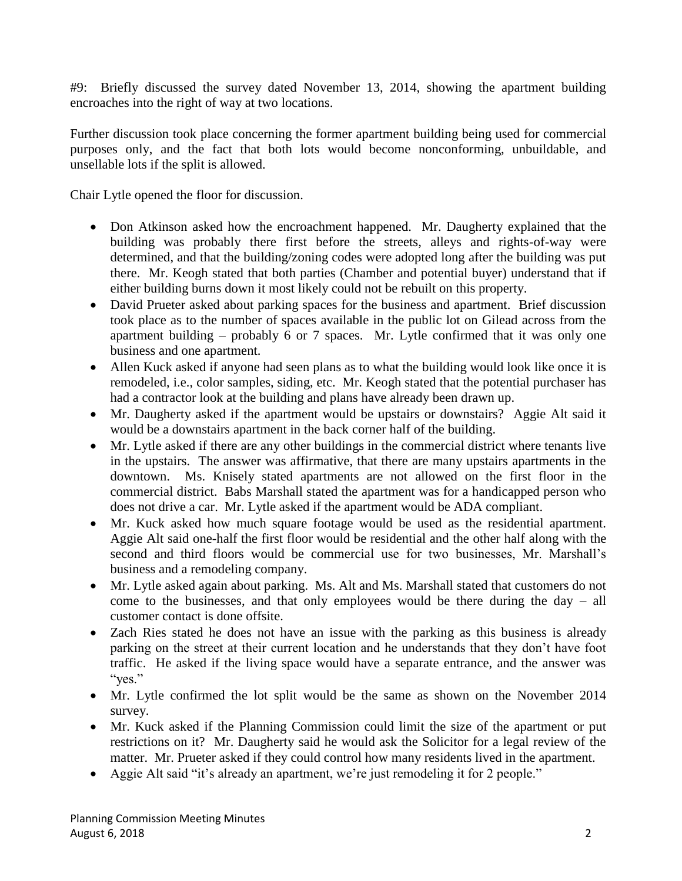#9: Briefly discussed the survey dated November 13, 2014, showing the apartment building encroaches into the right of way at two locations.

Further discussion took place concerning the former apartment building being used for commercial purposes only, and the fact that both lots would become nonconforming, unbuildable, and unsellable lots if the split is allowed.

Chair Lytle opened the floor for discussion.

- Don Atkinson asked how the encroachment happened. Mr. Daugherty explained that the building was probably there first before the streets, alleys and rights-of-way were determined, and that the building/zoning codes were adopted long after the building was put there. Mr. Keogh stated that both parties (Chamber and potential buyer) understand that if either building burns down it most likely could not be rebuilt on this property.
- David Prueter asked about parking spaces for the business and apartment. Brief discussion took place as to the number of spaces available in the public lot on Gilead across from the apartment building – probably 6 or 7 spaces. Mr. Lytle confirmed that it was only one business and one apartment.
- Allen Kuck asked if anyone had seen plans as to what the building would look like once it is remodeled, i.e., color samples, siding, etc. Mr. Keogh stated that the potential purchaser has had a contractor look at the building and plans have already been drawn up.
- Mr. Daugherty asked if the apartment would be upstairs or downstairs? Aggie Alt said it would be a downstairs apartment in the back corner half of the building.
- Mr. Lytle asked if there are any other buildings in the commercial district where tenants live in the upstairs. The answer was affirmative, that there are many upstairs apartments in the downtown. Ms. Knisely stated apartments are not allowed on the first floor in the commercial district. Babs Marshall stated the apartment was for a handicapped person who does not drive a car. Mr. Lytle asked if the apartment would be ADA compliant.
- Mr. Kuck asked how much square footage would be used as the residential apartment. Aggie Alt said one-half the first floor would be residential and the other half along with the second and third floors would be commercial use for two businesses, Mr. Marshall's business and a remodeling company.
- Mr. Lytle asked again about parking. Ms. Alt and Ms. Marshall stated that customers do not come to the businesses, and that only employees would be there during the day – all customer contact is done offsite.
- Zach Ries stated he does not have an issue with the parking as this business is already parking on the street at their current location and he understands that they don't have foot traffic. He asked if the living space would have a separate entrance, and the answer was "yes."
- Mr. Lytle confirmed the lot split would be the same as shown on the November 2014 survey.
- Mr. Kuck asked if the Planning Commission could limit the size of the apartment or put restrictions on it? Mr. Daugherty said he would ask the Solicitor for a legal review of the matter. Mr. Prueter asked if they could control how many residents lived in the apartment.
- Aggie Alt said "it's already an apartment, we're just remodeling it for 2 people."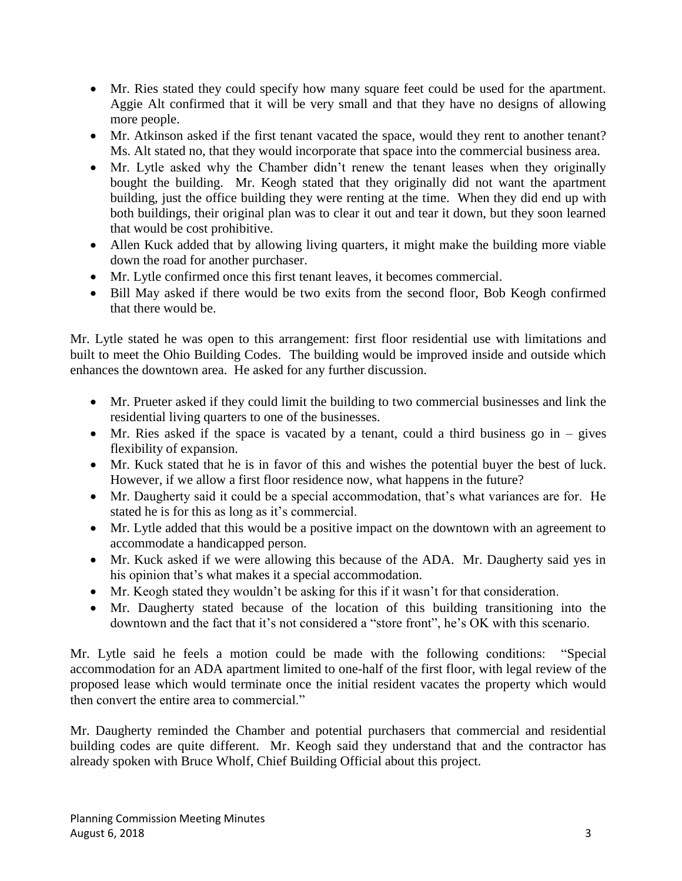- Mr. Ries stated they could specify how many square feet could be used for the apartment. Aggie Alt confirmed that it will be very small and that they have no designs of allowing more people.
- Mr. Atkinson asked if the first tenant vacated the space, would they rent to another tenant? Ms. Alt stated no, that they would incorporate that space into the commercial business area.
- Mr. Lytle asked why the Chamber didn't renew the tenant leases when they originally bought the building. Mr. Keogh stated that they originally did not want the apartment building, just the office building they were renting at the time. When they did end up with both buildings, their original plan was to clear it out and tear it down, but they soon learned that would be cost prohibitive.
- Allen Kuck added that by allowing living quarters, it might make the building more viable down the road for another purchaser.
- Mr. Lytle confirmed once this first tenant leaves, it becomes commercial.
- Bill May asked if there would be two exits from the second floor, Bob Keogh confirmed that there would be.

Mr. Lytle stated he was open to this arrangement: first floor residential use with limitations and built to meet the Ohio Building Codes. The building would be improved inside and outside which enhances the downtown area. He asked for any further discussion.

- Mr. Prueter asked if they could limit the building to two commercial businesses and link the residential living quarters to one of the businesses.
- Mr. Ries asked if the space is vacated by a tenant, could a third business go in gives flexibility of expansion.
- Mr. Kuck stated that he is in favor of this and wishes the potential buyer the best of luck. However, if we allow a first floor residence now, what happens in the future?
- Mr. Daugherty said it could be a special accommodation, that's what variances are for. He stated he is for this as long as it's commercial.
- Mr. Lytle added that this would be a positive impact on the downtown with an agreement to accommodate a handicapped person.
- Mr. Kuck asked if we were allowing this because of the ADA. Mr. Daugherty said yes in his opinion that's what makes it a special accommodation.
- Mr. Keogh stated they wouldn't be asking for this if it wasn't for that consideration.
- Mr. Daugherty stated because of the location of this building transitioning into the downtown and the fact that it's not considered a "store front", he's OK with this scenario.

Mr. Lytle said he feels a motion could be made with the following conditions: "Special accommodation for an ADA apartment limited to one-half of the first floor, with legal review of the proposed lease which would terminate once the initial resident vacates the property which would then convert the entire area to commercial."

Mr. Daugherty reminded the Chamber and potential purchasers that commercial and residential building codes are quite different. Mr. Keogh said they understand that and the contractor has already spoken with Bruce Wholf, Chief Building Official about this project.